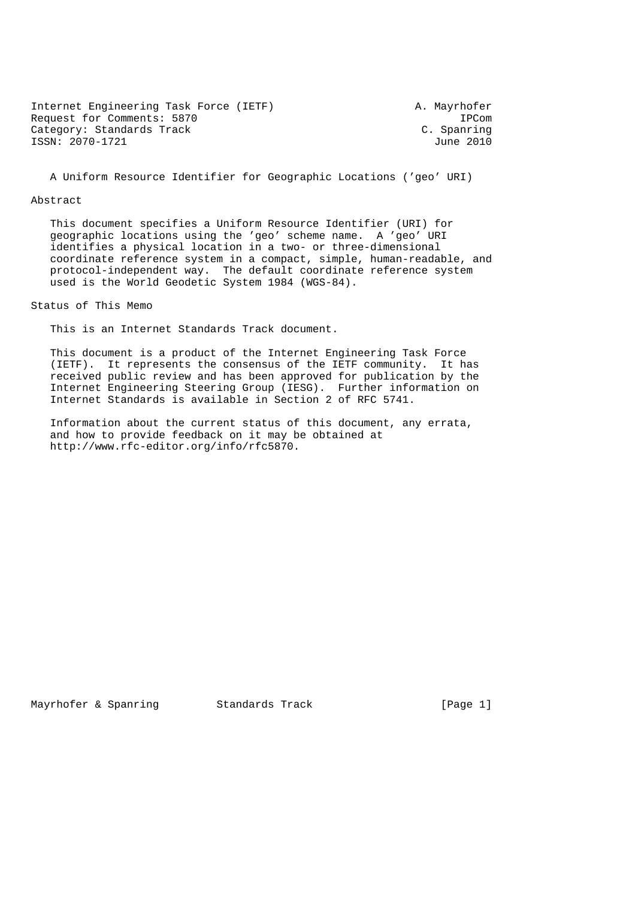Internet Engineering Task Force (IETF) A. Mayrhofer Request for Comments: 5870 IPCom<br>Category: Standards Track C. Spanring Category: Standards Track Category: Standards Track C. Spanring<br>
ISSN: 2070-1721 June 2010  $ISSN: 2070-1721$ 

A Uniform Resource Identifier for Geographic Locations ('geo' URI)

#### Abstract

 This document specifies a Uniform Resource Identifier (URI) for geographic locations using the 'geo' scheme name. A 'geo' URI identifies a physical location in a two- or three-dimensional coordinate reference system in a compact, simple, human-readable, and protocol-independent way. The default coordinate reference system used is the World Geodetic System 1984 (WGS-84).

Status of This Memo

This is an Internet Standards Track document.

 This document is a product of the Internet Engineering Task Force (IETF). It represents the consensus of the IETF community. It has received public review and has been approved for publication by the Internet Engineering Steering Group (IESG). Further information on Internet Standards is available in Section 2 of RFC 5741.

 Information about the current status of this document, any errata, and how to provide feedback on it may be obtained at http://www.rfc-editor.org/info/rfc5870.

Mayrhofer & Spanring Standards Track [Page 1]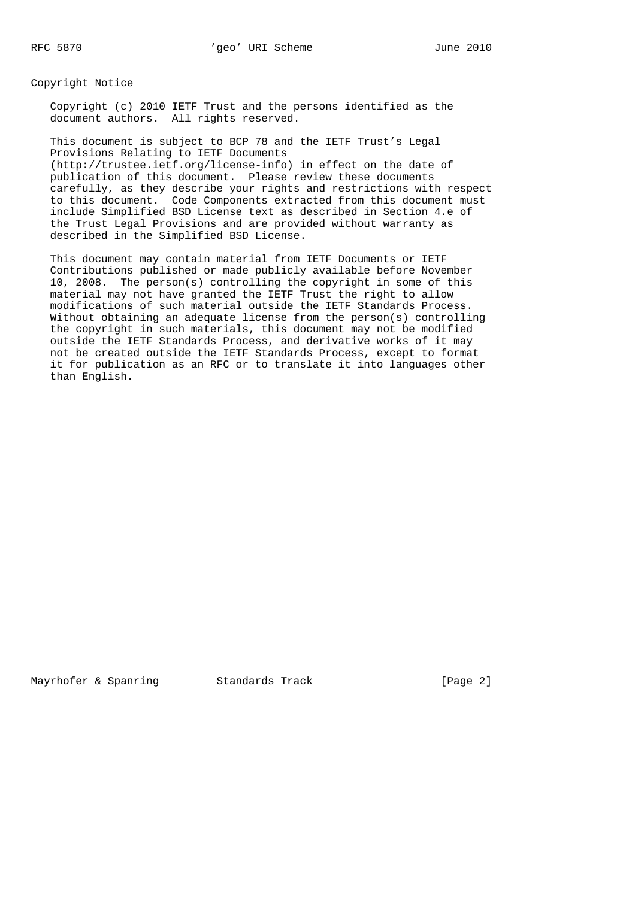Copyright Notice

 Copyright (c) 2010 IETF Trust and the persons identified as the document authors. All rights reserved.

 This document is subject to BCP 78 and the IETF Trust's Legal Provisions Relating to IETF Documents (http://trustee.ietf.org/license-info) in effect on the date of publication of this document. Please review these documents carefully, as they describe your rights and restrictions with respect to this document. Code Components extracted from this document must include Simplified BSD License text as described in Section 4.e of the Trust Legal Provisions and are provided without warranty as described in the Simplified BSD License.

 This document may contain material from IETF Documents or IETF Contributions published or made publicly available before November 10, 2008. The person(s) controlling the copyright in some of this material may not have granted the IETF Trust the right to allow modifications of such material outside the IETF Standards Process. Without obtaining an adequate license from the person(s) controlling the copyright in such materials, this document may not be modified outside the IETF Standards Process, and derivative works of it may not be created outside the IETF Standards Process, except to format it for publication as an RFC or to translate it into languages other than English.

Mayrhofer & Spanring and Standards Track and [Page 2]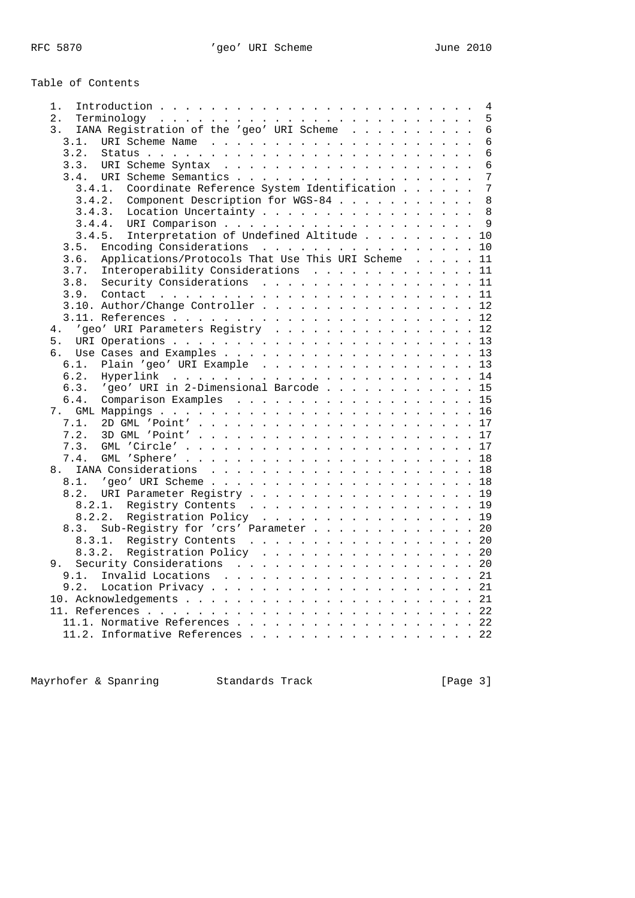# Table of Contents

| 1.               | 4                                                                      |
|------------------|------------------------------------------------------------------------|
| 2.               | 5                                                                      |
| $\overline{3}$ . | IANA Registration of the 'geo' URI Scheme<br>6                         |
| 3.1.             | $6\phantom{1}$                                                         |
| 3.2.             | 6                                                                      |
| 3.3.             | 6                                                                      |
|                  | 7                                                                      |
|                  | $\overline{7}$<br>Coordinate Reference System Identification<br>3.4.1. |
|                  | Component Description for WGS-84<br>8<br>3.4.2.                        |
|                  | Location Uncertainty<br>8<br>3.4.3.                                    |
|                  | 9                                                                      |
|                  | 3.4.4.                                                                 |
|                  | 3.4.5. Interpretation of Undefined Altitude 10                         |
| 3.5.             | Encoding Considerations<br>10                                          |
| 3.6.             | Applications/Protocols That Use This URI Scheme 11                     |
| 3.7.             | Interoperability Considerations<br>11                                  |
| 3.8.             | Security Considerations 11                                             |
| 3.9.             |                                                                        |
|                  | 3.10. Author/Change Controller 12                                      |
|                  |                                                                        |
| 4.               | 'geo' URI Parameters Registry 12                                       |
| 5.               |                                                                        |
| б.               |                                                                        |
| 6.1.             | Plain 'geo' URI Example 13                                             |
| 6.2.             |                                                                        |
| 6.3.             | 'geo' URI in 2-Dimensional Barcode 15                                  |
| 6.4.             | Comparison Examples 15                                                 |
|                  |                                                                        |
| 7.1.             |                                                                        |
| 7.2.             |                                                                        |
| 7.3.             |                                                                        |
| 7.4.             |                                                                        |
| 8.               |                                                                        |
|                  |                                                                        |
| 8.2.             |                                                                        |
|                  | URI Parameter Registry 19                                              |
|                  | 8.2.1. Registry Contents 19                                            |
|                  | 8.2.2. Registration Policy 19                                          |
| 8.3.             | Sub-Registry for 'crs' Parameter 20                                    |
|                  | 20                                                                     |
|                  | Registration Policy 20<br>8.3.2.                                       |
| 9.               | Security Considerations 20                                             |
| 9.1.             |                                                                        |
| 9.2.             |                                                                        |
|                  |                                                                        |
|                  |                                                                        |
|                  | 11.1. Normative References 22                                          |
|                  | 11.2. Informative References 22                                        |
|                  |                                                                        |

Mayrhofer & Spanring Standards Track Form (Page 3)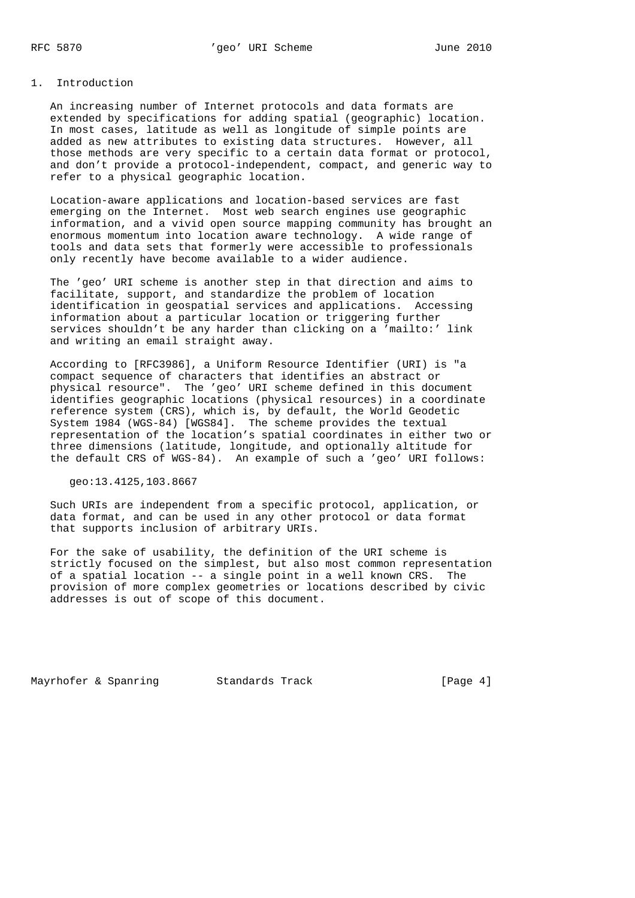# 1. Introduction

 An increasing number of Internet protocols and data formats are extended by specifications for adding spatial (geographic) location. In most cases, latitude as well as longitude of simple points are added as new attributes to existing data structures. However, all those methods are very specific to a certain data format or protocol, and don't provide a protocol-independent, compact, and generic way to refer to a physical geographic location.

 Location-aware applications and location-based services are fast emerging on the Internet. Most web search engines use geographic information, and a vivid open source mapping community has brought an enormous momentum into location aware technology. A wide range of tools and data sets that formerly were accessible to professionals only recently have become available to a wider audience.

 The 'geo' URI scheme is another step in that direction and aims to facilitate, support, and standardize the problem of location identification in geospatial services and applications. Accessing information about a particular location or triggering further services shouldn't be any harder than clicking on a 'mailto:' link and writing an email straight away.

 According to [RFC3986], a Uniform Resource Identifier (URI) is "a compact sequence of characters that identifies an abstract or physical resource". The 'geo' URI scheme defined in this document identifies geographic locations (physical resources) in a coordinate reference system (CRS), which is, by default, the World Geodetic System 1984 (WGS-84) [WGS84]. The scheme provides the textual representation of the location's spatial coordinates in either two or three dimensions (latitude, longitude, and optionally altitude for the default CRS of WGS-84). An example of such a 'geo' URI follows:

geo:13.4125,103.8667

 Such URIs are independent from a specific protocol, application, or data format, and can be used in any other protocol or data format that supports inclusion of arbitrary URIs.

 For the sake of usability, the definition of the URI scheme is strictly focused on the simplest, but also most common representation of a spatial location -- a single point in a well known CRS. The provision of more complex geometries or locations described by civic addresses is out of scope of this document.

Mayrhofer & Spanring 5tandards Track 1987 [Page 4]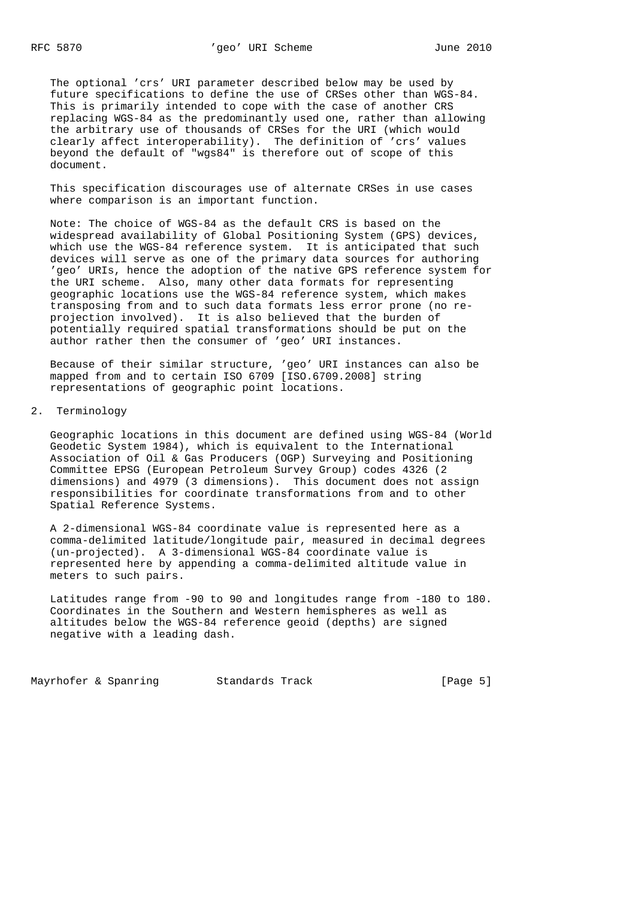The optional 'crs' URI parameter described below may be used by future specifications to define the use of CRSes other than WGS-84. This is primarily intended to cope with the case of another CRS replacing WGS-84 as the predominantly used one, rather than allowing the arbitrary use of thousands of CRSes for the URI (which would clearly affect interoperability). The definition of 'crs' values beyond the default of "wgs84" is therefore out of scope of this document.

 This specification discourages use of alternate CRSes in use cases where comparison is an important function.

 Note: The choice of WGS-84 as the default CRS is based on the widespread availability of Global Positioning System (GPS) devices, which use the WGS-84 reference system. It is anticipated that such devices will serve as one of the primary data sources for authoring 'geo' URIs, hence the adoption of the native GPS reference system for the URI scheme. Also, many other data formats for representing geographic locations use the WGS-84 reference system, which makes transposing from and to such data formats less error prone (no re projection involved). It is also believed that the burden of potentially required spatial transformations should be put on the author rather then the consumer of 'geo' URI instances.

 Because of their similar structure, 'geo' URI instances can also be mapped from and to certain ISO 6709 [ISO.6709.2008] string representations of geographic point locations.

### 2. Terminology

 Geographic locations in this document are defined using WGS-84 (World Geodetic System 1984), which is equivalent to the International Association of Oil & Gas Producers (OGP) Surveying and Positioning Committee EPSG (European Petroleum Survey Group) codes 4326 (2 dimensions) and 4979 (3 dimensions). This document does not assign responsibilities for coordinate transformations from and to other Spatial Reference Systems.

 A 2-dimensional WGS-84 coordinate value is represented here as a comma-delimited latitude/longitude pair, measured in decimal degrees (un-projected). A 3-dimensional WGS-84 coordinate value is represented here by appending a comma-delimited altitude value in meters to such pairs.

 Latitudes range from -90 to 90 and longitudes range from -180 to 180. Coordinates in the Southern and Western hemispheres as well as altitudes below the WGS-84 reference geoid (depths) are signed negative with a leading dash.

Mayrhofer & Spanring and Standards Track and Standards Track [Page 5]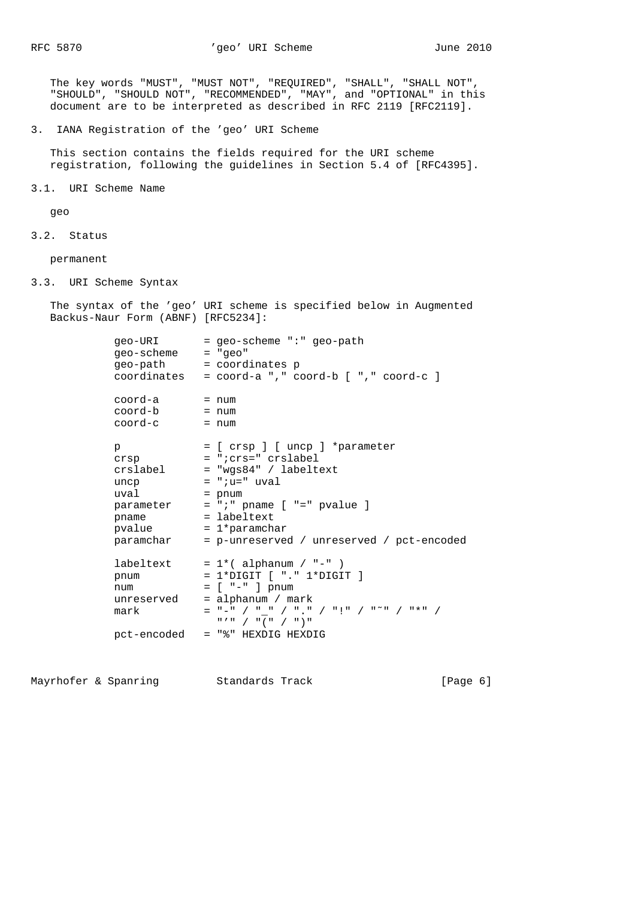RFC 5870  $r = 2010$   $r = 2010$ 

 The key words "MUST", "MUST NOT", "REQUIRED", "SHALL", "SHALL NOT", "SHOULD", "SHOULD NOT", "RECOMMENDED", "MAY", and "OPTIONAL" in this document are to be interpreted as described in RFC 2119 [RFC2119].

3. IANA Registration of the 'geo' URI Scheme

 This section contains the fields required for the URI scheme registration, following the guidelines in Section 5.4 of [RFC4395].

3.1. URI Scheme Name

geo

3.2. Status

permanent

3.3. URI Scheme Syntax

 The syntax of the 'geo' URI scheme is specified below in Augmented Backus-Naur Form (ABNF) [RFC5234]:

| qeo-URI<br>geo-scheme = "geo"                                              | = geo-scheme ":" geo-path<br>geo-path = coordinates p<br>coordinates = $coord-a$ ," $coord-b$ [ "," $coord-c$ ]                                                                                                                                                                                                                                                                                                                                                                                                                                                                                                                                              |
|----------------------------------------------------------------------------|--------------------------------------------------------------------------------------------------------------------------------------------------------------------------------------------------------------------------------------------------------------------------------------------------------------------------------------------------------------------------------------------------------------------------------------------------------------------------------------------------------------------------------------------------------------------------------------------------------------------------------------------------------------|
| coord-a<br>coord-b<br>coord-c                                              | $=$ num<br>= num<br>$=$ num                                                                                                                                                                                                                                                                                                                                                                                                                                                                                                                                                                                                                                  |
| p<br>crslabel<br>uncp<br>uval<br>parameter<br>pname<br>pvalue<br>paramchar | = [ crsp ] [ uncp ] *parameter<br>crsp = "icrs=" crslabel<br>$=$ "wgs84" / labeltext<br>$= "iu = " uval$<br>$=$ pnum<br>$= "i"$ pname $[ " =" pvalue ]$<br>$=$ labeltext<br>$= 1*$ paramchar<br>= p-unreserved / unreserved / pct-encoded                                                                                                                                                                                                                                                                                                                                                                                                                    |
| pnum<br>num<br>unreserved<br>mark                                          | labeltext = $1*($ alphanum / "-" )<br>$= 1*DiffIT [ "." 1*DiffIT ]$<br>$=$ [ $" -"$ ] pnum<br>$=$ alphanum / mark<br>$=$ "-" / "_" / "." / "!" / "~" / "*" /<br>$\begin{array}{ccccccccc} \mathfrak{n} & \mathcal{F} & \mathfrak{n} & \mathcal{N} & \mathfrak{n} & \mathfrak{n} & \mathfrak{n} & \mathfrak{n} & \mathfrak{n} & \mathfrak{n} & \mathfrak{n} & \mathfrak{n} & \mathfrak{n} & \mathfrak{n} & \mathfrak{n} & \mathfrak{n} & \mathfrak{n} & \mathfrak{n} & \mathfrak{n} & \mathfrak{n} & \mathfrak{n} & \mathfrak{n} & \mathfrak{n} & \mathfrak{n} & \mathfrak{n} & \mathfrak{n} & \mathfrak{n} & \mathfrak{n} & \mathfrak{n} & \mathfrak{n} & \$ |
| pct-encoded                                                                | = "%" HEXDIG HEXDIG                                                                                                                                                                                                                                                                                                                                                                                                                                                                                                                                                                                                                                          |

Mayrhofer & Spanring Standards Track Form (Page 6)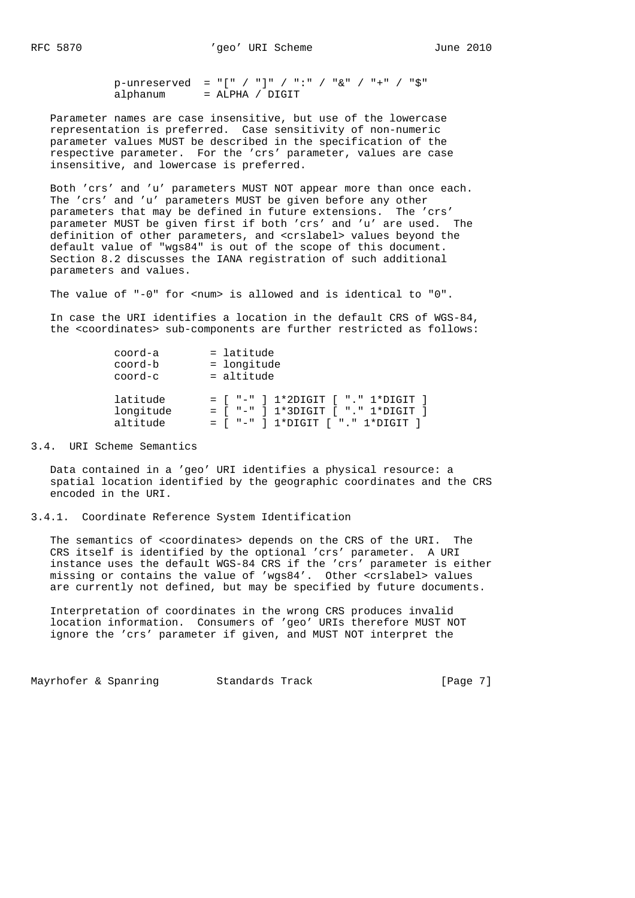p-unreserved = "[" / "]" / ":" / "&" / "+" / "\$" alphanum = ALPHA / DIGIT

 Parameter names are case insensitive, but use of the lowercase representation is preferred. Case sensitivity of non-numeric parameter values MUST be described in the specification of the respective parameter. For the 'crs' parameter, values are case insensitive, and lowercase is preferred.

 Both 'crs' and 'u' parameters MUST NOT appear more than once each. The 'crs' and 'u' parameters MUST be given before any other parameters that may be defined in future extensions. The 'crs' parameter MUST be given first if both 'crs' and 'u' are used. The definition of other parameters, and <crslabel> values beyond the default value of "wgs84" is out of the scope of this document. Section 8.2 discusses the IANA registration of such additional parameters and values.

The value of "-0" for <num> is allowed and is identical to "0".

 In case the URI identifies a location in the default CRS of WGS-84, the <coordinates> sub-components are further restricted as follows:

| coord-a   | $=$ latitude                         |
|-----------|--------------------------------------|
| coord-b   | = longitude                          |
| coord-c   | $=$ altitude                         |
| latitude  | $=$ [ "-" ] 1*2DIGIT [ "." 1*DIGIT ] |
| longitude | $=$ [ "-" ] 1*3DIGIT [ "." 1*DIGIT ] |
| altitude  | $=$ [ "-" ] 1*DIGIT [ "." 1*DIGIT ]  |

3.4. URI Scheme Semantics

 Data contained in a 'geo' URI identifies a physical resource: a spatial location identified by the geographic coordinates and the CRS encoded in the URI.

#### 3.4.1. Coordinate Reference System Identification

 The semantics of <coordinates> depends on the CRS of the URI. The CRS itself is identified by the optional 'crs' parameter. A URI instance uses the default WGS-84 CRS if the 'crs' parameter is either missing or contains the value of 'wgs84'. Other <crslabel> values are currently not defined, but may be specified by future documents.

 Interpretation of coordinates in the wrong CRS produces invalid location information. Consumers of 'geo' URIs therefore MUST NOT ignore the 'crs' parameter if given, and MUST NOT interpret the

Mayrhofer & Spanring 5tandards Track Track [Page 7]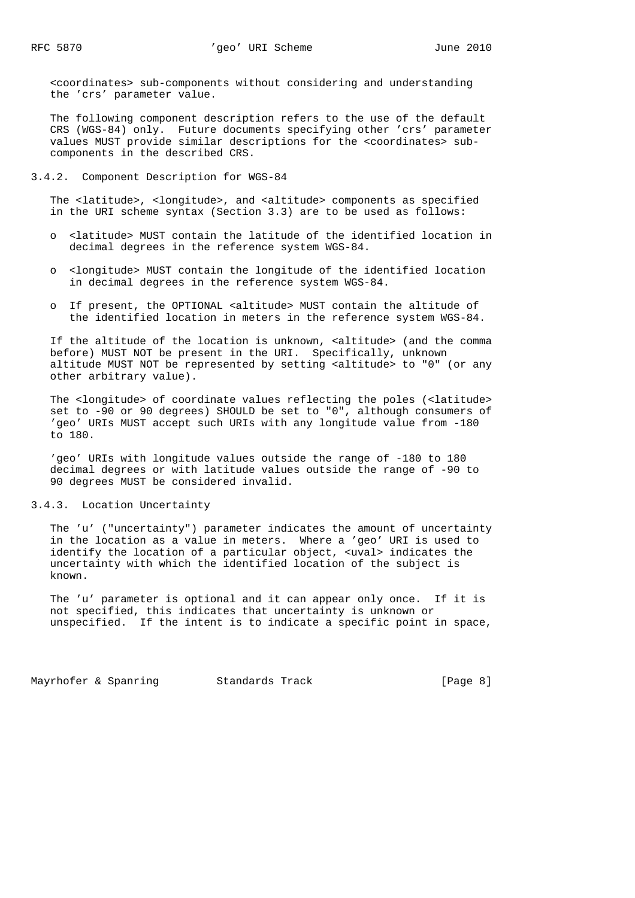<coordinates> sub-components without considering and understanding the 'crs' parameter value.

 The following component description refers to the use of the default CRS (WGS-84) only. Future documents specifying other 'crs' parameter values MUST provide similar descriptions for the <coordinates> sub components in the described CRS.

3.4.2. Component Description for WGS-84

The <latitude>, <longitude>, and <altitude> components as specified in the URI scheme syntax (Section 3.3) are to be used as follows:

- o <latitude> MUST contain the latitude of the identified location in decimal degrees in the reference system WGS-84.
- o <longitude> MUST contain the longitude of the identified location in decimal degrees in the reference system WGS-84.
- o If present, the OPTIONAL <altitude> MUST contain the altitude of the identified location in meters in the reference system WGS-84.

 If the altitude of the location is unknown, <altitude> (and the comma before) MUST NOT be present in the URI. Specifically, unknown altitude MUST NOT be represented by setting <altitude> to "0" (or any other arbitrary value).

 The <longitude> of coordinate values reflecting the poles (<latitude> set to -90 or 90 degrees) SHOULD be set to "0", although consumers of 'geo' URIs MUST accept such URIs with any longitude value from -180 to 180.

 'geo' URIs with longitude values outside the range of -180 to 180 decimal degrees or with latitude values outside the range of -90 to 90 degrees MUST be considered invalid.

#### 3.4.3. Location Uncertainty

 The 'u' ("uncertainty") parameter indicates the amount of uncertainty in the location as a value in meters. Where a 'geo' URI is used to identify the location of a particular object, <uval> indicates the uncertainty with which the identified location of the subject is known.

 The 'u' parameter is optional and it can appear only once. If it is not specified, this indicates that uncertainty is unknown or unspecified. If the intent is to indicate a specific point in space,

Mayrhofer & Spanring 5tandards Track Track [Page 8]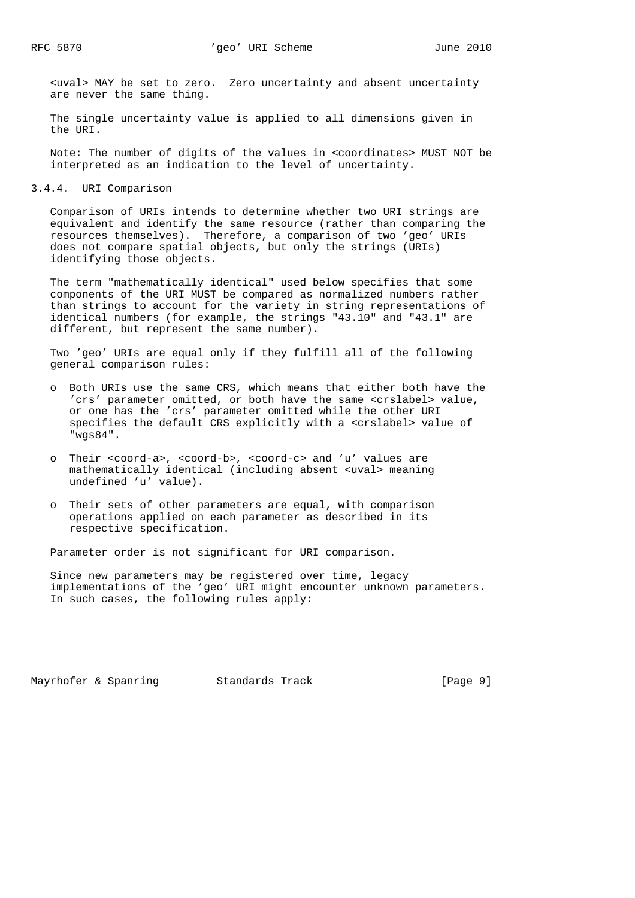<uval> MAY be set to zero. Zero uncertainty and absent uncertainty are never the same thing.

 The single uncertainty value is applied to all dimensions given in the URI.

 Note: The number of digits of the values in <coordinates> MUST NOT be interpreted as an indication to the level of uncertainty.

3.4.4. URI Comparison

 Comparison of URIs intends to determine whether two URI strings are equivalent and identify the same resource (rather than comparing the resources themselves). Therefore, a comparison of two 'geo' URIs does not compare spatial objects, but only the strings (URIs) identifying those objects.

 The term "mathematically identical" used below specifies that some components of the URI MUST be compared as normalized numbers rather than strings to account for the variety in string representations of identical numbers (for example, the strings "43.10" and "43.1" are different, but represent the same number).

 Two 'geo' URIs are equal only if they fulfill all of the following general comparison rules:

- o Both URIs use the same CRS, which means that either both have the 'crs' parameter omitted, or both have the same <crslabel> value, or one has the 'crs' parameter omitted while the other URI specifies the default CRS explicitly with a <crslabel> value of "wgs84".
- o Their <coord-a>, <coord-b>, <coord-c> and 'u' values are mathematically identical (including absent <uval> meaning undefined 'u' value).
- o Their sets of other parameters are equal, with comparison operations applied on each parameter as described in its respective specification.

Parameter order is not significant for URI comparison.

 Since new parameters may be registered over time, legacy implementations of the 'geo' URI might encounter unknown parameters. In such cases, the following rules apply:

Mayrhofer & Spanring and Standards Track and Standards Track (Page 9]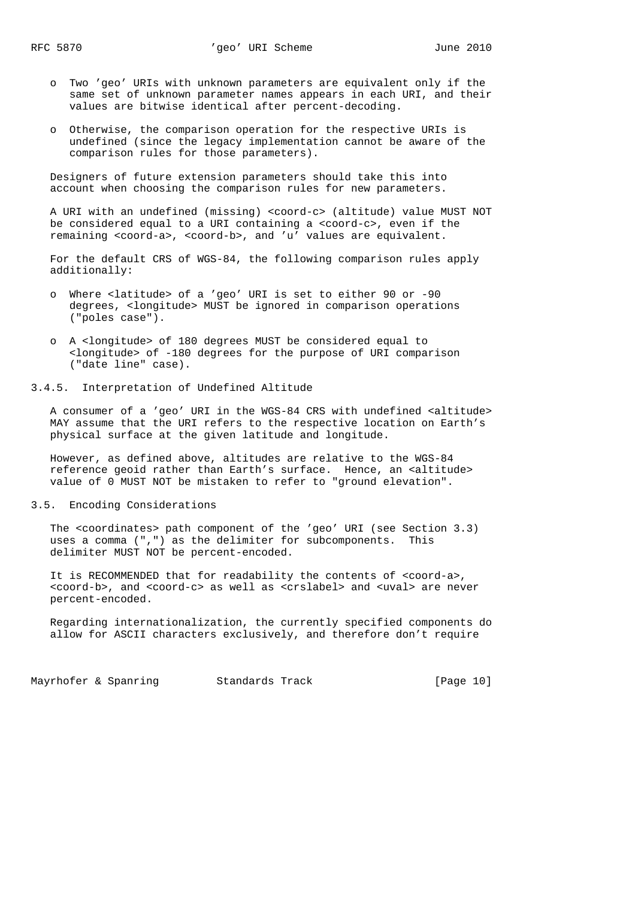- o Two 'geo' URIs with unknown parameters are equivalent only if the same set of unknown parameter names appears in each URI, and their values are bitwise identical after percent-decoding.
- o Otherwise, the comparison operation for the respective URIs is undefined (since the legacy implementation cannot be aware of the comparison rules for those parameters).

 Designers of future extension parameters should take this into account when choosing the comparison rules for new parameters.

 A URI with an undefined (missing) <coord-c> (altitude) value MUST NOT be considered equal to a URI containing a <coord-c>, even if the remaining <coord-a>, <coord-b>, and 'u' values are equivalent.

 For the default CRS of WGS-84, the following comparison rules apply additionally:

- o Where <latitude> of a 'geo' URI is set to either 90 or -90 degrees, <longitude> MUST be ignored in comparison operations ("poles case").
- o A <longitude> of 180 degrees MUST be considered equal to <longitude> of -180 degrees for the purpose of URI comparison ("date line" case).

#### 3.4.5. Interpretation of Undefined Altitude

 A consumer of a 'geo' URI in the WGS-84 CRS with undefined <altitude> MAY assume that the URI refers to the respective location on Earth's physical surface at the given latitude and longitude.

 However, as defined above, altitudes are relative to the WGS-84 reference geoid rather than Earth's surface. Hence, an <altitude> value of 0 MUST NOT be mistaken to refer to "ground elevation".

#### 3.5. Encoding Considerations

 The <coordinates> path component of the 'geo' URI (see Section 3.3) uses a comma (",") as the delimiter for subcomponents. This delimiter MUST NOT be percent-encoded.

 It is RECOMMENDED that for readability the contents of <coord-a>, <coord-b>, and <coord-c> as well as <crslabel> and <uval> are never percent-encoded.

 Regarding internationalization, the currently specified components do allow for ASCII characters exclusively, and therefore don't require

Mayrhofer & Spanring 51 Standards Track 10 [Page 10]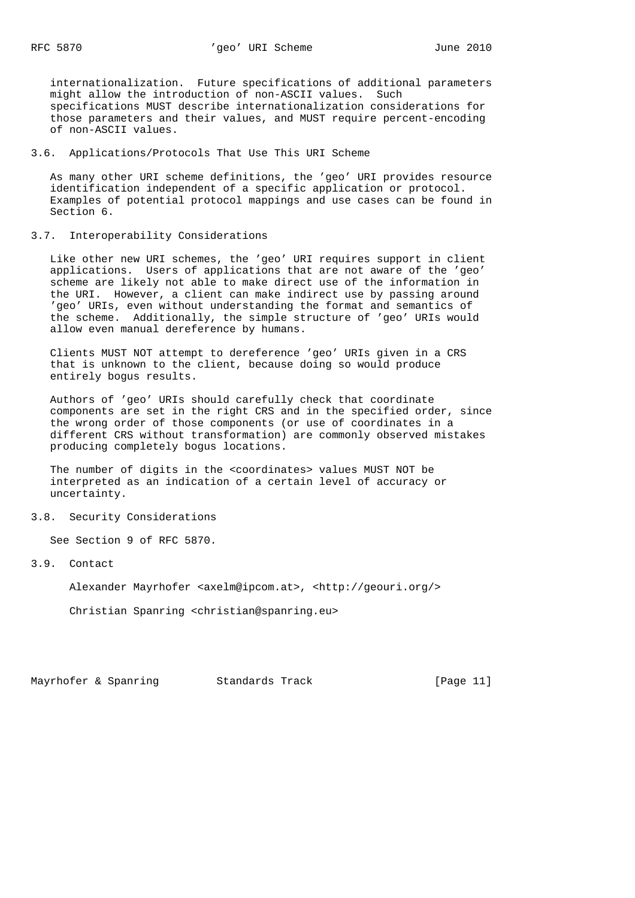internationalization. Future specifications of additional parameters might allow the introduction of non-ASCII values. Such specifications MUST describe internationalization considerations for those parameters and their values, and MUST require percent-encoding of non-ASCII values.

#### 3.6. Applications/Protocols That Use This URI Scheme

 As many other URI scheme definitions, the 'geo' URI provides resource identification independent of a specific application or protocol. Examples of potential protocol mappings and use cases can be found in Section 6.

# 3.7. Interoperability Considerations

 Like other new URI schemes, the 'geo' URI requires support in client applications. Users of applications that are not aware of the 'geo' scheme are likely not able to make direct use of the information in the URI. However, a client can make indirect use by passing around 'geo' URIs, even without understanding the format and semantics of the scheme. Additionally, the simple structure of 'geo' URIs would allow even manual dereference by humans.

 Clients MUST NOT attempt to dereference 'geo' URIs given in a CRS that is unknown to the client, because doing so would produce entirely bogus results.

 Authors of 'geo' URIs should carefully check that coordinate components are set in the right CRS and in the specified order, since the wrong order of those components (or use of coordinates in a different CRS without transformation) are commonly observed mistakes producing completely bogus locations.

 The number of digits in the <coordinates> values MUST NOT be interpreted as an indication of a certain level of accuracy or uncertainty.

#### 3.8. Security Considerations

See Section 9 of RFC 5870.

# 3.9. Contact

Alexander Mayrhofer <axelm@ipcom.at>, <http://geouri.org/>

Christian Spanring <christian@spanring.eu>

Mayrhofer & Spanring 5tandards Track [Page 11]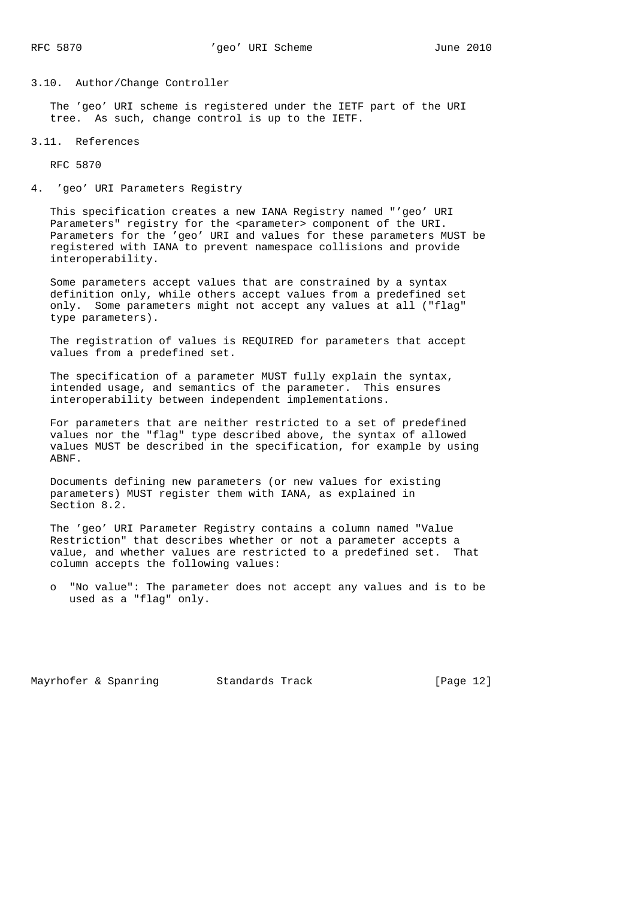#### 3.10. Author/Change Controller

 The 'geo' URI scheme is registered under the IETF part of the URI tree. As such, change control is up to the IETF.

#### 3.11. References

RFC 5870

4. 'geo' URI Parameters Registry

 This specification creates a new IANA Registry named "'geo' URI Parameters" registry for the <parameter> component of the URI. Parameters for the 'geo' URI and values for these parameters MUST be registered with IANA to prevent namespace collisions and provide interoperability.

 Some parameters accept values that are constrained by a syntax definition only, while others accept values from a predefined set only. Some parameters might not accept any values at all ("flag" type parameters).

 The registration of values is REQUIRED for parameters that accept values from a predefined set.

 The specification of a parameter MUST fully explain the syntax, intended usage, and semantics of the parameter. This ensures interoperability between independent implementations.

 For parameters that are neither restricted to a set of predefined values nor the "flag" type described above, the syntax of allowed values MUST be described in the specification, for example by using ABNF.

 Documents defining new parameters (or new values for existing parameters) MUST register them with IANA, as explained in Section 8.2.

 The 'geo' URI Parameter Registry contains a column named "Value Restriction" that describes whether or not a parameter accepts a value, and whether values are restricted to a predefined set. That column accepts the following values:

 o "No value": The parameter does not accept any values and is to be used as a "flag" only.

Mayrhofer & Spanring Standards Track [Page 12]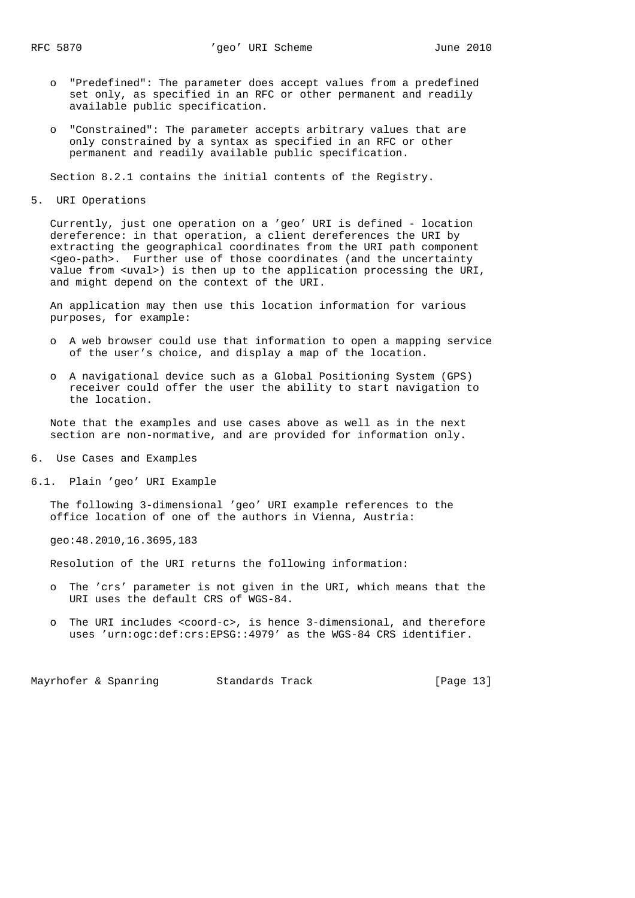- o "Predefined": The parameter does accept values from a predefined set only, as specified in an RFC or other permanent and readily available public specification.
- o "Constrained": The parameter accepts arbitrary values that are only constrained by a syntax as specified in an RFC or other permanent and readily available public specification.

Section 8.2.1 contains the initial contents of the Registry.

5. URI Operations

 Currently, just one operation on a 'geo' URI is defined - location dereference: in that operation, a client dereferences the URI by extracting the geographical coordinates from the URI path component <geo-path>. Further use of those coordinates (and the uncertainty value from <uval>) is then up to the application processing the URI, and might depend on the context of the URI.

 An application may then use this location information for various purposes, for example:

- o A web browser could use that information to open a mapping service of the user's choice, and display a map of the location.
- o A navigational device such as a Global Positioning System (GPS) receiver could offer the user the ability to start navigation to the location.

 Note that the examples and use cases above as well as in the next section are non-normative, and are provided for information only.

6. Use Cases and Examples

6.1. Plain 'geo' URI Example

 The following 3-dimensional 'geo' URI example references to the office location of one of the authors in Vienna, Austria:

geo:48.2010,16.3695,183

Resolution of the URI returns the following information:

- o The 'crs' parameter is not given in the URI, which means that the URI uses the default CRS of WGS-84.
- o The URI includes <coord-c>, is hence 3-dimensional, and therefore uses 'urn:ogc:def:crs:EPSG::4979' as the WGS-84 CRS identifier.

Mayrhofer & Spanring 51 Standards Track 13 [Page 13]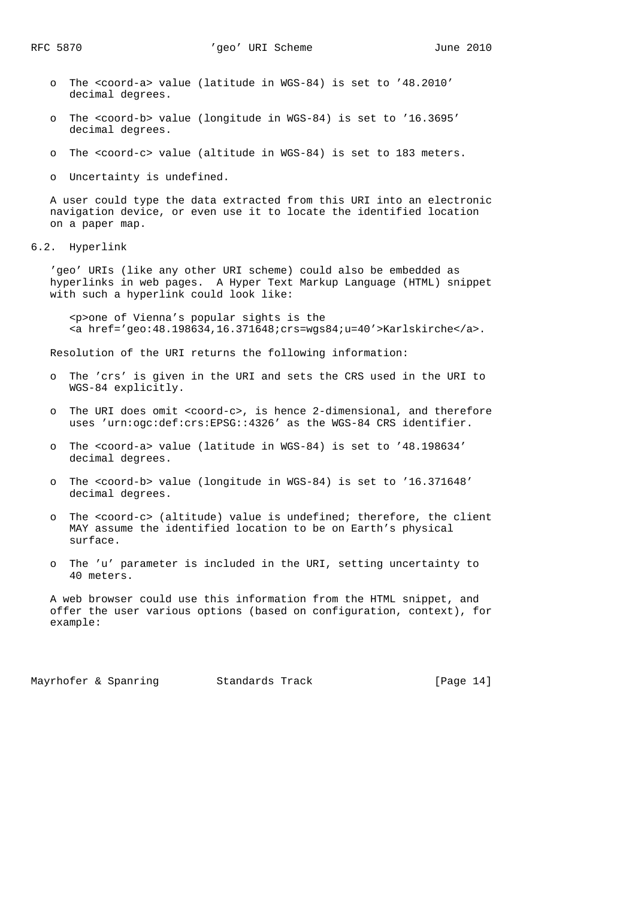- o The <coord-a> value (latitude in WGS-84) is set to '48.2010' decimal degrees.
- o The <coord-b> value (longitude in WGS-84) is set to '16.3695' decimal degrees.
- o The <coord-c> value (altitude in WGS-84) is set to 183 meters.

o Uncertainty is undefined.

 A user could type the data extracted from this URI into an electronic navigation device, or even use it to locate the identified location on a paper map.

6.2. Hyperlink

 'geo' URIs (like any other URI scheme) could also be embedded as hyperlinks in web pages. A Hyper Text Markup Language (HTML) snippet with such a hyperlink could look like:

 <p>one of Vienna's popular sights is the <a href='geo:48.198634,16.371648;crs=wgs84;u=40'>Karlskirche</a>.

Resolution of the URI returns the following information:

- o The 'crs' is given in the URI and sets the CRS used in the URI to WGS-84 explicitly.
- o The URI does omit <coord-c>, is hence 2-dimensional, and therefore uses 'urn:ogc:def:crs:EPSG::4326' as the WGS-84 CRS identifier.
- o The <coord-a> value (latitude in WGS-84) is set to '48.198634' decimal degrees.
- o The <coord-b> value (longitude in WGS-84) is set to '16.371648' decimal degrees.
- o The <coord-c> (altitude) value is undefined; therefore, the client MAY assume the identified location to be on Earth's physical surface.
- o The 'u' parameter is included in the URI, setting uncertainty to 40 meters.

 A web browser could use this information from the HTML snippet, and offer the user various options (based on configuration, context), for example:

Mayrhofer & Spanring 5tandards Track 19 [Page 14]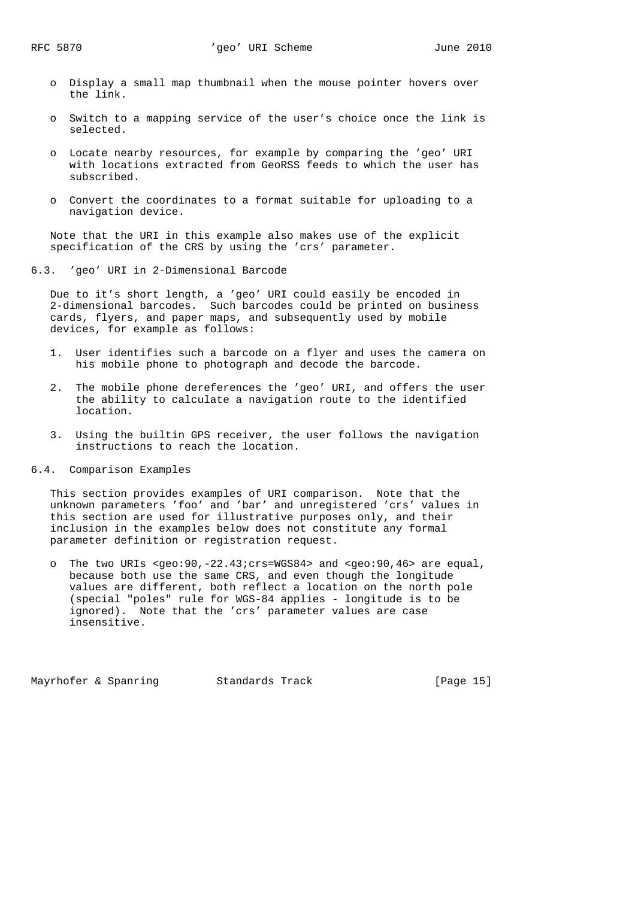- o Display a small map thumbnail when the mouse pointer hovers over the link.
- o Switch to a mapping service of the user's choice once the link is selected.
- o Locate nearby resources, for example by comparing the 'geo' URI with locations extracted from GeoRSS feeds to which the user has subscribed.
- o Convert the coordinates to a format suitable for uploading to a navigation device.

 Note that the URI in this example also makes use of the explicit specification of the CRS by using the 'crs' parameter.

6.3. 'geo' URI in 2-Dimensional Barcode

 Due to it's short length, a 'geo' URI could easily be encoded in 2-dimensional barcodes. Such barcodes could be printed on business cards, flyers, and paper maps, and subsequently used by mobile devices, for example as follows:

- 1. User identifies such a barcode on a flyer and uses the camera on his mobile phone to photograph and decode the barcode.
- 2. The mobile phone dereferences the 'geo' URI, and offers the user the ability to calculate a navigation route to the identified location.
- 3. Using the builtin GPS receiver, the user follows the navigation instructions to reach the location.
- 6.4. Comparison Examples

 This section provides examples of URI comparison. Note that the unknown parameters 'foo' and 'bar' and unregistered 'crs' values in this section are used for illustrative purposes only, and their inclusion in the examples below does not constitute any formal parameter definition or registration request.

 o The two URIs <geo:90,-22.43;crs=WGS84> and <geo:90,46> are equal, because both use the same CRS, and even though the longitude values are different, both reflect a location on the north pole (special "poles" rule for WGS-84 applies - longitude is to be ignored). Note that the 'crs' parameter values are case insensitive.

Mayrhofer & Spanring 5tandards Track [Page 15]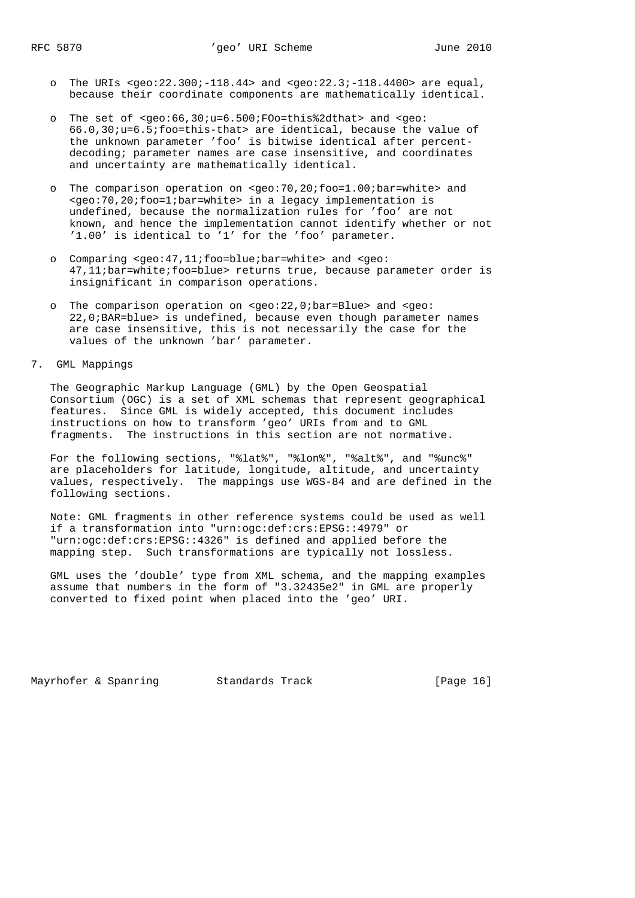- o The URIs <geo:22.300;-118.44> and <geo:22.3;-118.4400> are equal, because their coordinate components are mathematically identical.
- o The set of <geo:66,30;u=6.500;FOo=this%2dthat> and <geo: 66.0,30;u=6.5;foo=this-that> are identical, because the value of the unknown parameter 'foo' is bitwise identical after percent decoding; parameter names are case insensitive, and coordinates and uncertainty are mathematically identical.
- o The comparison operation on <geo:70,20;foo=1.00;bar=white> and <geo:70,20;foo=1;bar=white> in a legacy implementation is undefined, because the normalization rules for 'foo' are not known, and hence the implementation cannot identify whether or not '1.00' is identical to '1' for the 'foo' parameter.
- o Comparing <geo:47,11;foo=blue;bar=white> and <geo: 47,11;bar=white;foo=blue> returns true, because parameter order is insignificant in comparison operations.
- o The comparison operation on <geo:22,0;bar=Blue> and <geo: 22,0;BAR=blue> is undefined, because even though parameter names are case insensitive, this is not necessarily the case for the values of the unknown 'bar' parameter.

7. GML Mappings

 The Geographic Markup Language (GML) by the Open Geospatial Consortium (OGC) is a set of XML schemas that represent geographical features. Since GML is widely accepted, this document includes instructions on how to transform 'geo' URIs from and to GML fragments. The instructions in this section are not normative.

 For the following sections, "%lat%", "%lon%", "%alt%", and "%unc%" are placeholders for latitude, longitude, altitude, and uncertainty values, respectively. The mappings use WGS-84 and are defined in the following sections.

 Note: GML fragments in other reference systems could be used as well if a transformation into "urn:ogc:def:crs:EPSG::4979" or "urn:ogc:def:crs:EPSG::4326" is defined and applied before the mapping step. Such transformations are typically not lossless.

 GML uses the 'double' type from XML schema, and the mapping examples assume that numbers in the form of "3.32435e2" in GML are properly converted to fixed point when placed into the 'geo' URI.

Mayrhofer & Spanring 5tandards Track 19 (Page 16)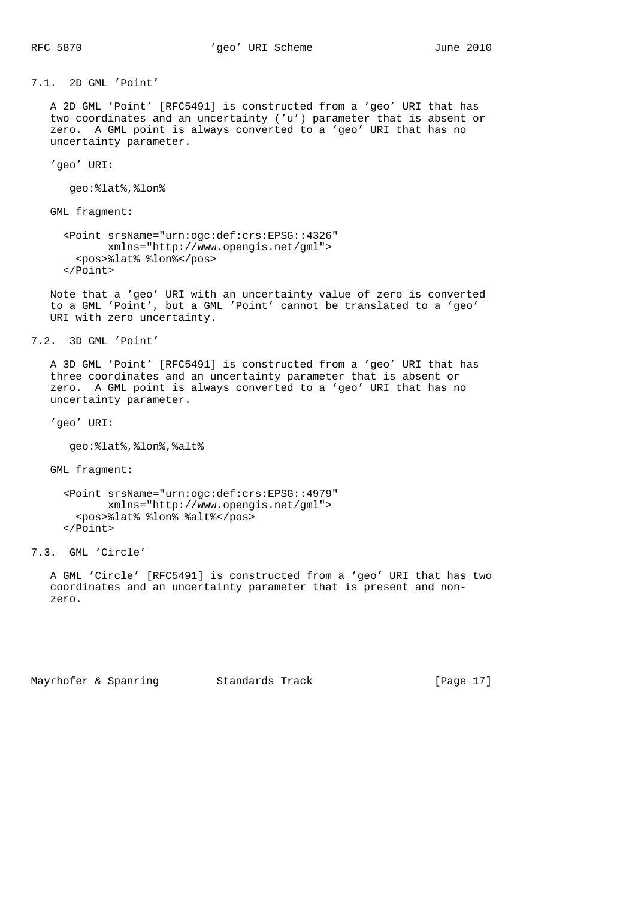7.1. 2D GML 'Point'

 A 2D GML 'Point' [RFC5491] is constructed from a 'geo' URI that has two coordinates and an uncertainty ('u') parameter that is absent or zero. A GML point is always converted to a 'geo' URI that has no uncertainty parameter.

'geo' URI:

geo:%lat%,%lon%

GML fragment:

```
 <Point srsName="urn:ogc:def:crs:EPSG::4326"
       xmlns="http://www.opengis.net/gml">
   <pos>%lat% %lon%</pos>
 </Point>
```
 Note that a 'geo' URI with an uncertainty value of zero is converted to a GML 'Point', but a GML 'Point' cannot be translated to a 'geo' URI with zero uncertainty.

7.2. 3D GML 'Point'

 A 3D GML 'Point' [RFC5491] is constructed from a 'geo' URI that has three coordinates and an uncertainty parameter that is absent or zero. A GML point is always converted to a 'geo' URI that has no uncertainty parameter.

'geo' URI:

geo:%lat%,%lon%,%alt%

GML fragment:

 <Point srsName="urn:ogc:def:crs:EPSG::4979" xmlns="http://www.opengis.net/gml"> <pos>%lat% %lon% %alt%</pos> </Point>

7.3. GML 'Circle'

 A GML 'Circle' [RFC5491] is constructed from a 'geo' URI that has two coordinates and an uncertainty parameter that is present and non zero.

Mayrhofer & Spanring Standards Track [Page 17]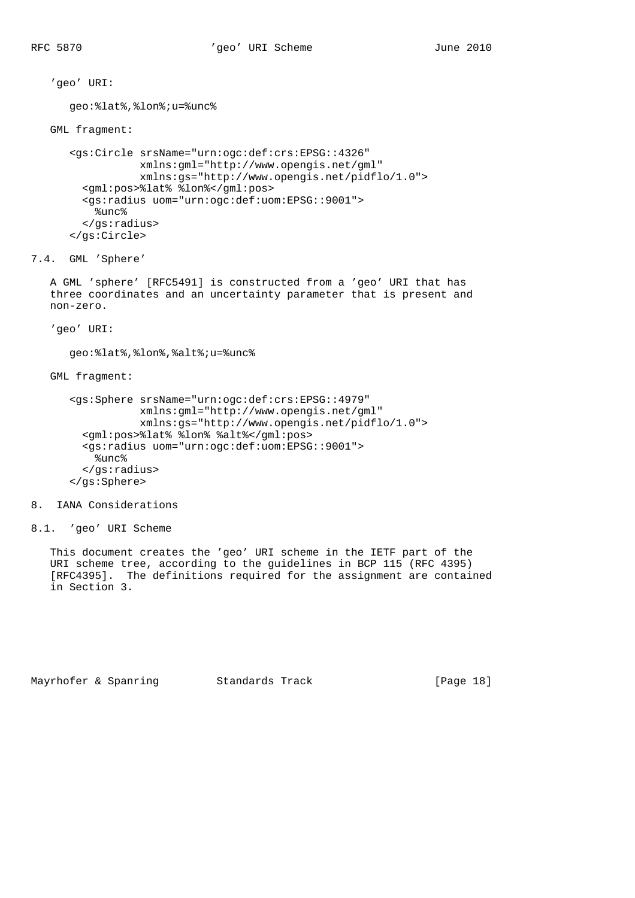'geo' URI:

```
 geo:%lat%,%lon%;u=%unc%
 GML fragment:
    <gs:Circle srsName="urn:ogc:def:crs:EPSG::4326"
               xmlns:gml="http://www.opengis.net/gml"
               xmlns:gs="http://www.opengis.net/pidflo/1.0">
      <gml:pos>%lat% %lon%</gml:pos>
      <gs:radius uom="urn:ogc:def:uom:EPSG::9001">
        %unc%
      </gs:radius>
    </gs:Circle>
```
7.4. GML 'Sphere'

 A GML 'sphere' [RFC5491] is constructed from a 'geo' URI that has three coordinates and an uncertainty parameter that is present and non-zero.

'geo' URI:

geo:%lat%,%lon%,%alt%;u=%unc%

GML fragment:

```
 <gs:Sphere srsName="urn:ogc:def:crs:EPSG::4979"
            xmlns:gml="http://www.opengis.net/gml"
            xmlns:gs="http://www.opengis.net/pidflo/1.0">
  <gml:pos>%lat% %lon% %alt%</gml:pos>
  <gs:radius uom="urn:ogc:def:uom:EPSG::9001">
    %unc% </gs:radius>
 </gs:Sphere>
```
8. IANA Considerations

```
8.1. 'geo' URI Scheme
```
 This document creates the 'geo' URI scheme in the IETF part of the URI scheme tree, according to the guidelines in BCP 115 (RFC 4395) [RFC4395]. The definitions required for the assignment are contained in Section 3.

Mayrhofer & Spanring Standards Track [Page 18]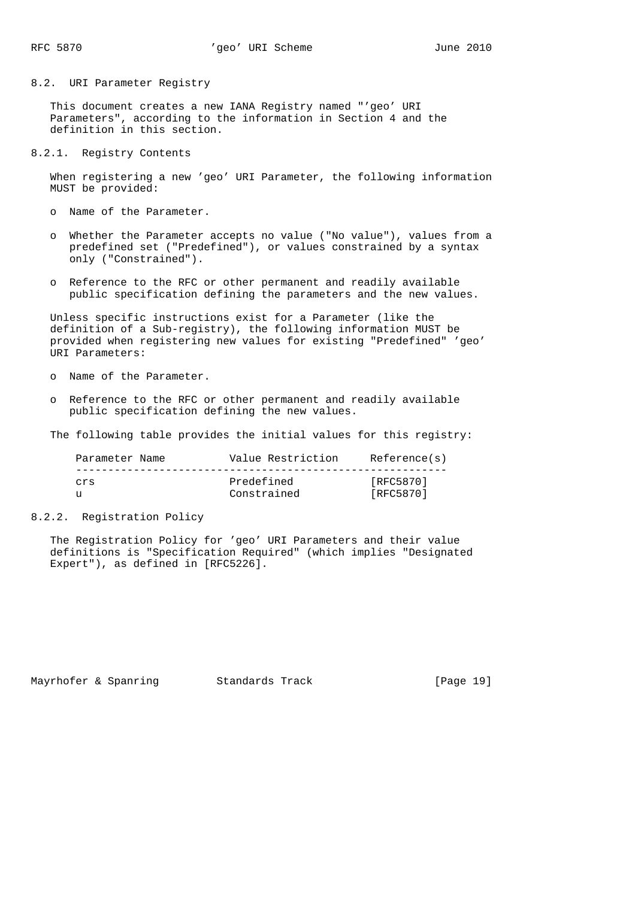8.2. URI Parameter Registry

 This document creates a new IANA Registry named "'geo' URI Parameters", according to the information in Section 4 and the definition in this section.

8.2.1. Registry Contents

 When registering a new 'geo' URI Parameter, the following information MUST be provided:

o Name of the Parameter.

- o Whether the Parameter accepts no value ("No value"), values from a predefined set ("Predefined"), or values constrained by a syntax only ("Constrained").
- o Reference to the RFC or other permanent and readily available public specification defining the parameters and the new values.

 Unless specific instructions exist for a Parameter (like the definition of a Sub-registry), the following information MUST be provided when registering new values for existing "Predefined" 'geo' URI Parameters:

- o Name of the Parameter.
- o Reference to the RFC or other permanent and readily available public specification defining the new values.

The following table provides the initial values for this registry:

| Parameter Name | Value Restriction         | Reference(s)           |
|----------------|---------------------------|------------------------|
| Crs            | Predefined<br>Constrained | [RFC5870]<br>[RFC5870] |
|                |                           |                        |

8.2.2. Registration Policy

 The Registration Policy for 'geo' URI Parameters and their value definitions is "Specification Required" (which implies "Designated Expert"), as defined in [RFC5226].

Mayrhofer & Spanring 5tandards Track [Page 19]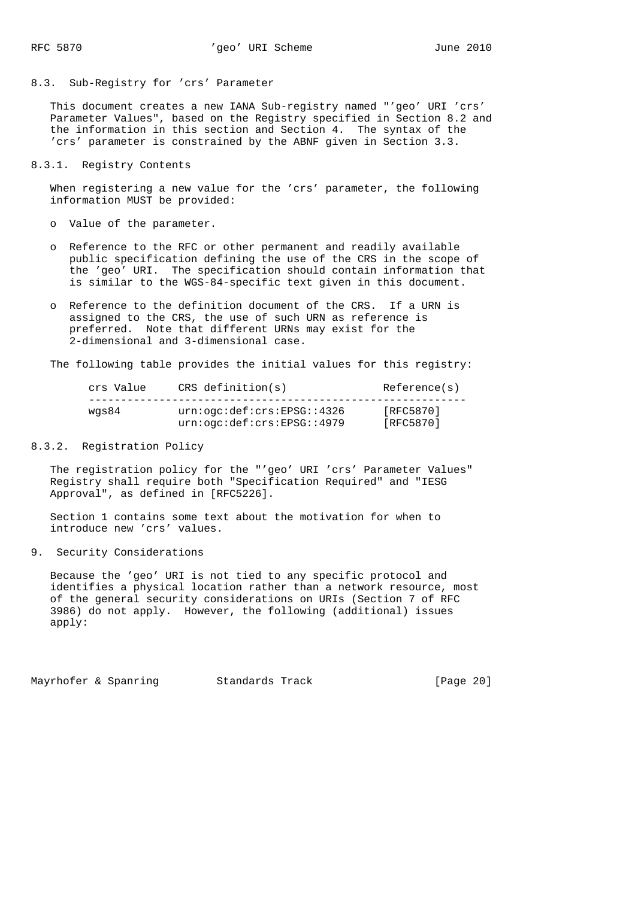#### 8.3. Sub-Registry for 'crs' Parameter

 This document creates a new IANA Sub-registry named "'geo' URI 'crs' Parameter Values", based on the Registry specified in Section 8.2 and the information in this section and Section 4. The syntax of the 'crs' parameter is constrained by the ABNF given in Section 3.3.

#### 8.3.1. Registry Contents

 When registering a new value for the 'crs' parameter, the following information MUST be provided:

- o Value of the parameter.
- o Reference to the RFC or other permanent and readily available public specification defining the use of the CRS in the scope of the 'geo' URI. The specification should contain information that is similar to the WGS-84-specific text given in this document.
- o Reference to the definition document of the CRS. If a URN is assigned to the CRS, the use of such URN as reference is preferred. Note that different URNs may exist for the 2-dimensional and 3-dimensional case.

The following table provides the initial values for this registry:

| crs Value | $CRS$ definition(s)                        | Reference(s) |
|-----------|--------------------------------------------|--------------|
| was84     | urn:ogc:def:crs:EPSG::4326                 | [RFC5870]    |
|           | $urn:$ $oqc:$ $def:$ $crs:$ $EPSG:$ : 4979 | [RFC5870]    |

# 8.3.2. Registration Policy

 The registration policy for the "'geo' URI 'crs' Parameter Values" Registry shall require both "Specification Required" and "IESG Approval", as defined in [RFC5226].

 Section 1 contains some text about the motivation for when to introduce new 'crs' values.

9. Security Considerations

 Because the 'geo' URI is not tied to any specific protocol and identifies a physical location rather than a network resource, most of the general security considerations on URIs (Section 7 of RFC 3986) do not apply. However, the following (additional) issues apply:

Mayrhofer & Spanring Standards Track [Page 20]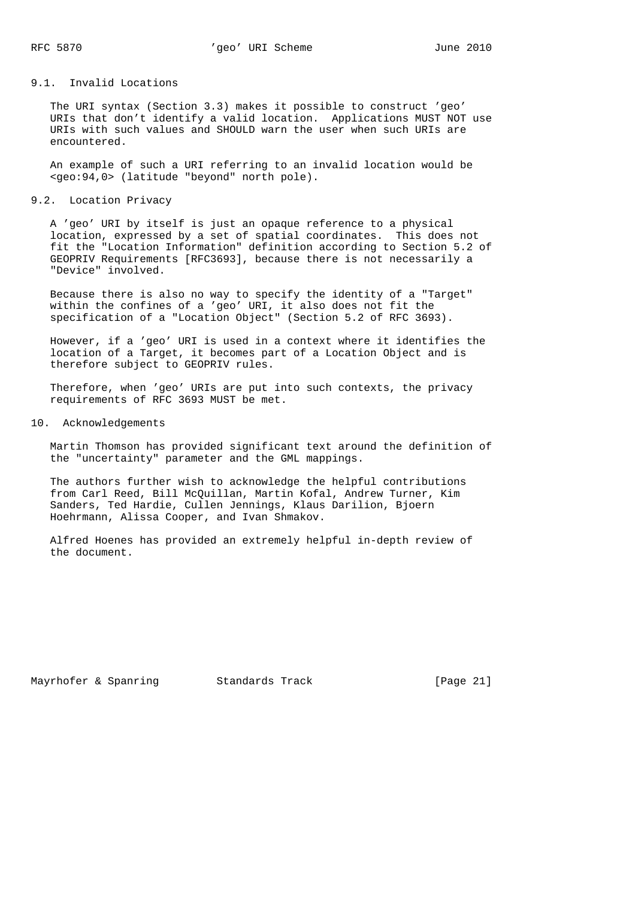# 9.1. Invalid Locations

 The URI syntax (Section 3.3) makes it possible to construct 'geo' URIs that don't identify a valid location. Applications MUST NOT use URIs with such values and SHOULD warn the user when such URIs are encountered.

 An example of such a URI referring to an invalid location would be <geo:94,0> (latitude "beyond" north pole).

9.2. Location Privacy

 A 'geo' URI by itself is just an opaque reference to a physical location, expressed by a set of spatial coordinates. This does not fit the "Location Information" definition according to Section 5.2 of GEOPRIV Requirements [RFC3693], because there is not necessarily a "Device" involved.

 Because there is also no way to specify the identity of a "Target" within the confines of a 'geo' URI, it also does not fit the specification of a "Location Object" (Section 5.2 of RFC 3693).

 However, if a 'geo' URI is used in a context where it identifies the location of a Target, it becomes part of a Location Object and is therefore subject to GEOPRIV rules.

 Therefore, when 'geo' URIs are put into such contexts, the privacy requirements of RFC 3693 MUST be met.

10. Acknowledgements

 Martin Thomson has provided significant text around the definition of the "uncertainty" parameter and the GML mappings.

 The authors further wish to acknowledge the helpful contributions from Carl Reed, Bill McQuillan, Martin Kofal, Andrew Turner, Kim Sanders, Ted Hardie, Cullen Jennings, Klaus Darilion, Bjoern Hoehrmann, Alissa Cooper, and Ivan Shmakov.

 Alfred Hoenes has provided an extremely helpful in-depth review of the document.

Mayrhofer & Spanring 5tandards Track [Page 21]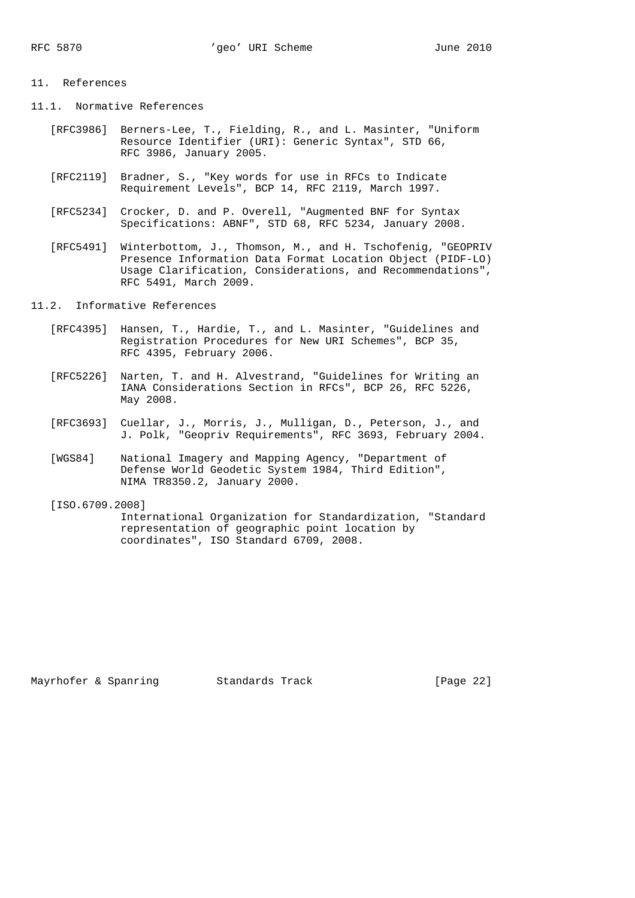### 11. References

- 11.1. Normative References
	- [RFC3986] Berners-Lee, T., Fielding, R., and L. Masinter, "Uniform Resource Identifier (URI): Generic Syntax", STD 66, RFC 3986, January 2005.
	- [RFC2119] Bradner, S., "Key words for use in RFCs to Indicate Requirement Levels", BCP 14, RFC 2119, March 1997.
	- [RFC5234] Crocker, D. and P. Overell, "Augmented BNF for Syntax Specifications: ABNF", STD 68, RFC 5234, January 2008.
	- [RFC5491] Winterbottom, J., Thomson, M., and H. Tschofenig, "GEOPRIV Presence Information Data Format Location Object (PIDF-LO) Usage Clarification, Considerations, and Recommendations", RFC 5491, March 2009.
- 11.2. Informative References
	- [RFC4395] Hansen, T., Hardie, T., and L. Masinter, "Guidelines and Registration Procedures for New URI Schemes", BCP 35, RFC 4395, February 2006.
	- [RFC5226] Narten, T. and H. Alvestrand, "Guidelines for Writing an IANA Considerations Section in RFCs", BCP 26, RFC 5226, May 2008.
	- [RFC3693] Cuellar, J., Morris, J., Mulligan, D., Peterson, J., and J. Polk, "Geopriv Requirements", RFC 3693, February 2004.
	- [WGS84] National Imagery and Mapping Agency, "Department of Defense World Geodetic System 1984, Third Edition", NIMA TR8350.2, January 2000.
	- [ISO.6709.2008] International Organization for Standardization, "Standard representation of geographic point location by coordinates", ISO Standard 6709, 2008.

Mayrhofer & Spanring 5tandards Track [Page 22]